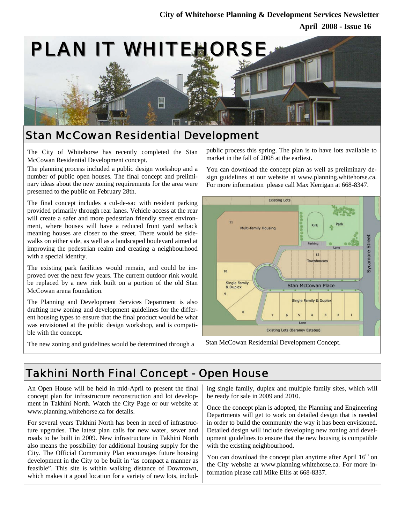

### Stan McCowan Residential Development

The City of Whitehorse has recently completed the Stan McCowan Residential Development concept.

The planning process included a public design workshop and a number of public open houses. The final concept and preliminary ideas about the new zoning requirements for the area were presented to the public on February 28th.

The final concept includes a cul-de-sac with resident parking provided primarily through rear lanes. Vehicle access at the rear will create a safer and more pedestrian friendly street environment, where houses will have a reduced front yard setback meaning houses are closer to the street. There would be sidewalks on either side, as well as a landscaped boulevard aimed at improving the pedestrian realm and creating a neighbourhood with a special identity.

The existing park facilities would remain, and could be improved over the next few years. The current outdoor rink would be replaced by a new rink built on a portion of the old Stan McCowan arena foundation.

The Planning and Development Services Department is also drafting new zoning and development guidelines for the different housing types to ensure that the final product would be what was envisioned at the public design workshop, and is compatible with the concept.

The new zoning and guidelines would be determined through a

public process this spring. The plan is to have lots available to market in the fall of 2008 at the earliest.

You can download the concept plan as well as preliminary design guidelines at our website at www.planning.whitehorse.ca. For more information please call Max Kerrigan at 668-8347.



Stan McCowan Residential Development Concept.

## Takhini North Final Concept - Open House

An Open House will be held in mid-April to present the final concept plan for infrastructure reconstruction and lot development in Takhini North. Watch the City Page or our website at www.planning.whitehorse.ca for details.

For several years Takhini North has been in need of infrastructure upgrades. The latest plan calls for new water, sewer and roads to be built in 2009. New infrastructure in Takhini North also means the possibility for additional housing supply for the City. The Official Community Plan encourages future housing development in the City to be built in "as compact a manner as feasible". This site is within walking distance of Downtown, which makes it a good location for a variety of new lots, including single family, duplex and multiple family sites, which will be ready for sale in 2009 and 2010.

Once the concept plan is adopted, the Planning and Engineering Departments will get to work on detailed design that is needed in order to build the community the way it has been envisioned. Detailed design will include developing new zoning and development guidelines to ensure that the new housing is compatible with the existing neighbourhood.

You can download the concept plan anytime after April  $16<sup>th</sup>$  on the City website at www.planning.whitehorse.ca. For more information please call Mike Ellis at 668-8337.